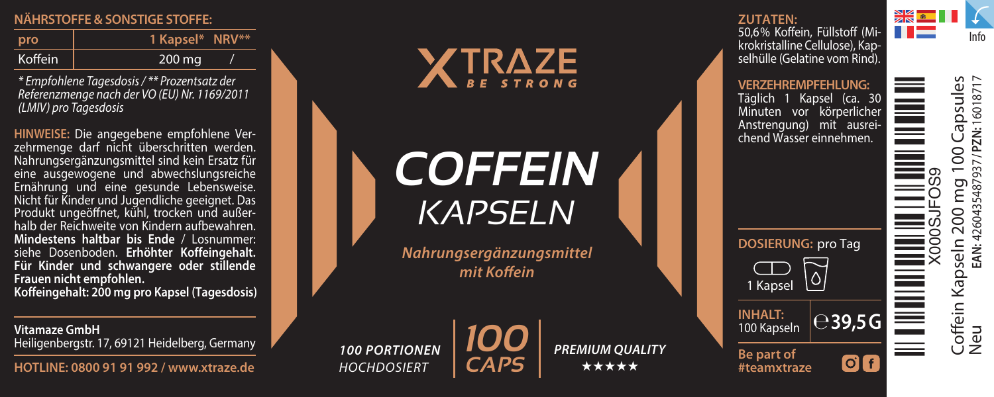## **NÄHRSTOFFE & SONSTIGE STOFF E :**

| pro     | 1 Kapsel* NRV** |  |
|---------|-----------------|--|
| Koffein | 200 mg          |  |

*\* Empfohlene Tagesdosis / \*\* Prozentsatz der Referenzmenge nach der VO (EU) Nr. 1169/2011 (LMIV) pro Tagesdosis*

**HINWEISE:** Die angegebene empfohlene Verzehrmenge darf nicht überschritten werden. Nahrungsergänzungsmittel sind kein Ersatz für eine ausgewogene und abwechslungsreiche Ernährung und eine gesunde Lebensweise. Nicht für Kinder und Jugendliche geeignet. Das Produkt ungeönet, kühl, trocken und außerhalb der Reichweite von Kindern aufbewahren. **Mindestens haltbar bis Ende** / Losnummer: siehe Dosenboden. **Erhöhter Koffeingehalt. Für Kinder und schwangere oder stillende** 

**Frauen nicht empfohlen. Koffeingehalt: 200 mg pro Kapsel (Tagesdosis)**

**Vitamaze GmbH** Heiligenbergstr. 17, 69121 Heidelberg, Germany

**HOTLINE: 0800 91 91 992 / www.xtraze.de** 



*COFFEIN KAPSELN*

*Nahrungsergänzungsmittel*   $mit$ *Koffein* 



*100 PORTIONEN HOCHDOSIERT* 

*PREMIUM QUALITY* ★★★★★

### **ZUTATEN:**

50,6% Koffein, Füllstoff (Mikrokristalline Cellulose), Kapselhülle (Gelatine vom Rind).

NK 8 HE Info

**VERZEHREMPFEHLUNG:** Täglich 1 Kapsel (ca. 30 Minuten vor körperlicher Anstrengung) mit ausreichend Wasser einnehmen.

**DOSIERUNG:** pro Tag

**100 Kapseln external 100 Kapseln** 

 $O<sub>f</sub>$ 

लि

100 Kapseln

**Be part of #teamxtraze**

1 Kapsel

apsules Coffein Kapseln 200 mg 100 Capsules Neu **EAN:** 4260435487937 **/ PZN:** 16018717 ZN:1601871 Ξ  $\infty$ X000SJFOS9 ġ ŭ Coffein Kaps<br>Neu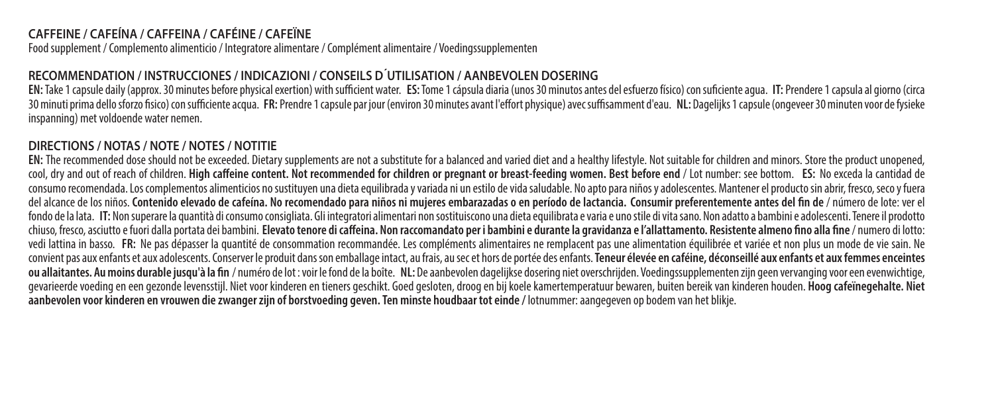# **CAFFEINE / CAFEÍNA / CAFFEINA / CAFÉINE / CAFEÏNE**

Food supplement / Complemento alimenticio / Integratore alimentare / Complément alimentaire / Voedingssupplementen

# **RECOMMENDATION / INSTRUCCIONES / INDICAZIONI / CONSEILS D´UTILISATION / AANBEVOLEN DOSERING**

EN: Take 1 capsule daily (approx. 30 minutes before physical exertion) with sufficient water. ES: Tome 1 cápsula diaria (unos 30 minutos antes del esfuerzo físico) con suficiente agua. IT: Prendere 1 capsula al giorno (cir 30 minuti prima dello sforzo sico) con suciente acqua. **FR:**Prendre 1 capsule par jour (environ 30 minutes avant l'eort physique) avec susamment d'eau. **NL:** Dagelijks 1 capsule (ongeveer 30 minuten voor de fysieke inspanning) met voldoende water nemen.

### **DIRECTIONS / NOTAS / NOTE / NOTES / NOTITIE**

**EN:** The recommended dose should not be exceeded. Dietary supplements are not a substitute for a balanced and varied diet and a healthy lifestyle. Not suitable for children and minors. Store the product unopened, cool, dry and out of reach of children. **High caeine content. Not recommended for children or pregnant or breast-feeding women. Best before end** / Lot number: see bottom. **ES:** No exceda la cantidad de consumo recomendada. Los complementos alimenticios no sustituyen una dieta equilibrada y variada ni un estilo de vida saludable. No apto para niños y adolescentes. Mantener el producto sin abrir, fresco, seco y fuera del alcance de los niños. **Contenido elevado de cafeína. No recomendado para niños ni mujeres embarazadas o en período de lactancia. Consumir preferentemente antes del n de** / número de lote: ver el fondo de la lata. IT: Non superare la quantità di consumo consigliata. Gli integratori alimentari non sostituiscono una dieta equilibrata e varia e uno stile di vita sano. Non adatto a bambini e adolescenti. Tenere il prod chiuso, fresco, asciutto e fuori dalla portata dei bambini. **Elevato tenore di caeina. Non raccomandato per i bambini e durante la gravidanza e l'allattamento. Resistente almeno no alla ne** / numero di lotto: vedi lattina in basso. **FR:** Ne pas dépasser la quantité de consommation recommandée. Les compléments alimentaires ne remplacent pas une alimentation équilibrée et variée et non plus un mode de vie sain. Ne convient pas aux enfants et aux adolescents. Conserver le produit dans son emballage intact, au frais, au sec et hors de portée des enfants. **Teneur élevée en caféine, déconseillé aux enfants et aux femmes enceintes**  ou allaitantes. Au moins durable jusqu'à la fin / numéro de lot : voir le fond de la boîte. NL: De aanbevolen dagelijkse dosering niet overschrijden. Voedingssupplementen zijn geen vervanging voor een evenwichtige, gevarieerde voeding en een gezonde levensstijl. Niet voor kinderen en tieners geschikt. Goed gesloten, droog en bij koele kamertemperatuur bewaren, buiten bereik van kinderen houden. **Hoog cafeïnegehalte. Niet aanbevolen voor kinderen en vrouwen die zwanger zijn of borstvoeding geven.Ten minste houdbaar tot einde /** lotnummer: aangegeven op bodem van het blikje.